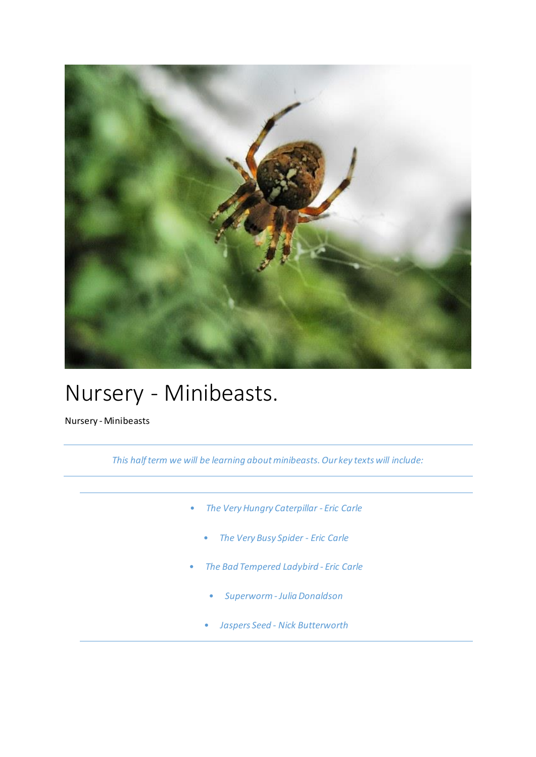

## Nursery - Minibeasts.

Nursery - Minibeasts

*This half term we will be learning about minibeasts. Our key texts will include:*

- *The Very Hungry Caterpillar - Eric Carle*
	- *The Very Busy Spider - Eric Carle*
- *The Bad Tempered Ladybird - Eric Carle*
	- *Superworm - Julia Donaldson*
	- *Jaspers Seed - Nick Butterworth*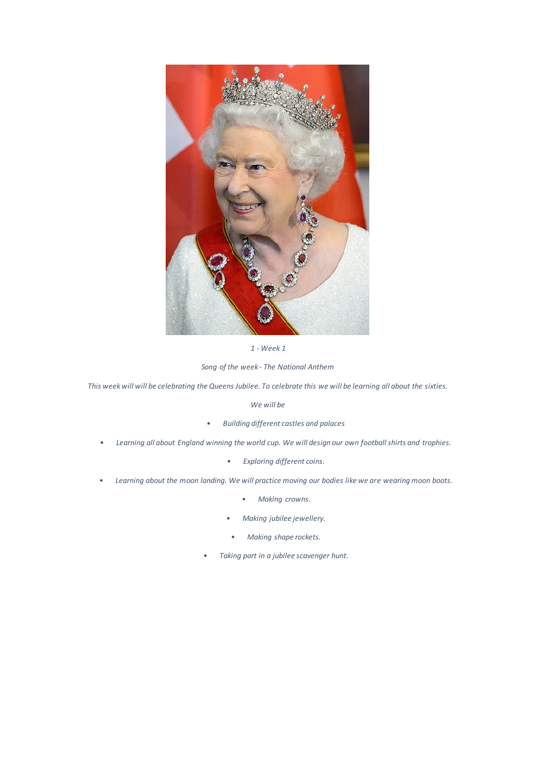

*1 - Week 1*

*Song of the week - The National Anthem*

*This week will will be celebrating the Queens Jubilee. To celebrate this we will be learning all about the sixties.* 

*We will be*

- *Building different castles and palaces*
- *Learning all about England winning the world cup. We will design our own football shirts and trophies.* 
	- *Exploring different coins.*
- *Learning about the moon landing. We will practice moving our bodies like we are wearing moon boots.* 
	- *Making crowns.*
	- *Making jubilee jewellery.*
	- *Making shape rockets.*
	- *Taking part in a jubilee scavenger hunt.*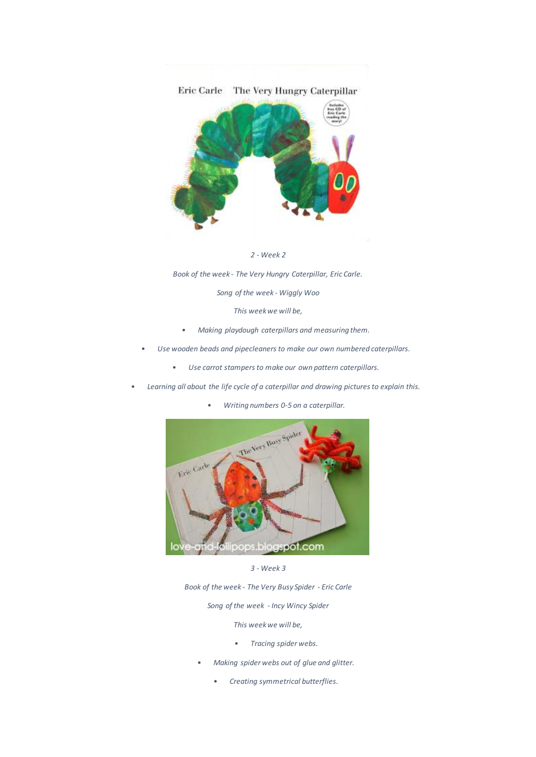

*2 - Week 2*

*Book of the week - The Very Hungry Caterpillar, Eric Carle.*

*Song of the week - Wiggly Woo*

*This week we will be,* 

- *Making playdough caterpillars and measuring them.*
- *Use wooden beads and pipecleaners to make our own numbered caterpillars.* 
	- *Use carrot stampers to make our own pattern caterpillars.*
- *Learning all about the life cycle of a caterpillar and drawing pictures to explain this.*
	- *Writing numbers 0-5 on a caterpillar.*



*3 - Week 3*

*Book of the week - The Very Busy Spider - Eric Carle*

*Song of the week - Incy Wincy Spider*

*This week we will be,* 

- *Tracing spider webs.*
- *Making spider webs out of glue and glitter.*
	- *Creating symmetrical butterflies.*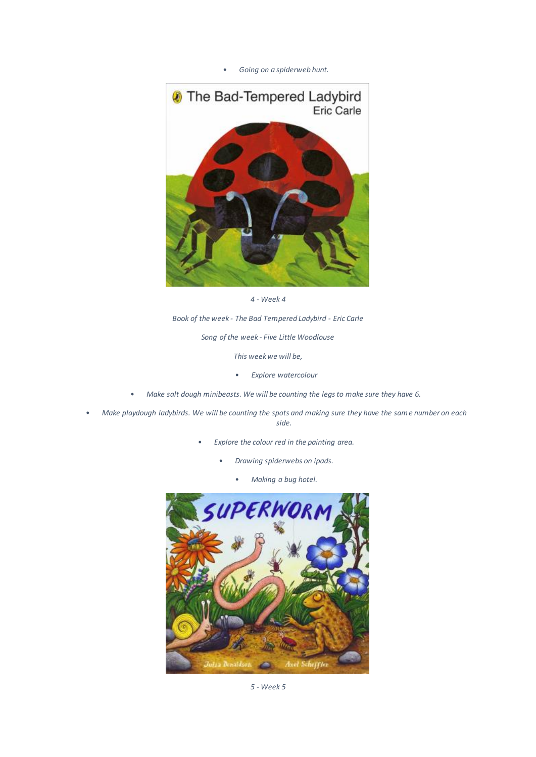• *Going on a spiderweb hunt.*



*4 - Week 4*

*Book of the week - The Bad Tempered Ladybird - Eric Carle*

*Song of the week - Five Little Woodlouse*

*This week we will be,* 

- *Explore watercolour*
- *Make salt dough minibeasts. We will be counting the legs to make sure they have 6.*
- *Make playdough ladybirds. We will be counting the spots and making sure they have the same number on each side.* 
	- *Explore the colour red in the painting area.*
		- *Drawing spiderwebs on ipads.*
			- *Making a bug hotel.*



*5 - Week 5*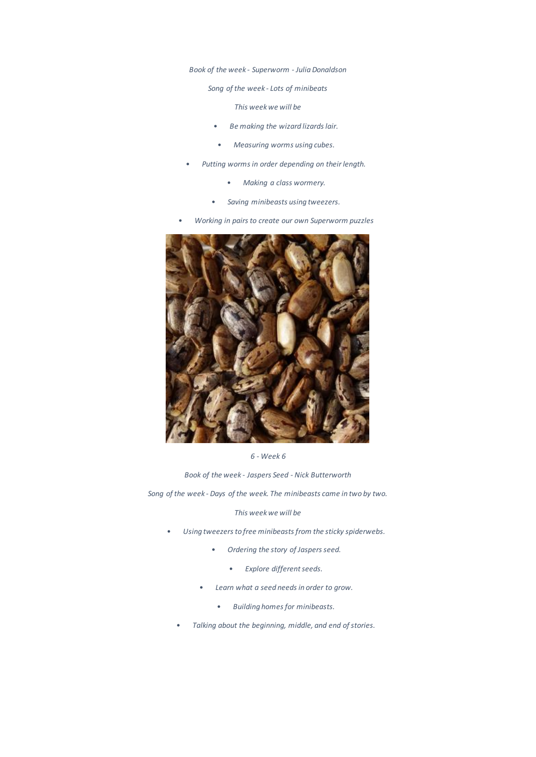*Book of the week - Superworm - Julia Donaldson*

*Song of the week - Lots of minibeats*

*This week we will be*

- *Be making the wizard lizards lair.*
- *Measuring worms using cubes.*
- *Putting worms in order depending on their length.*
	- *Making a class wormery.*
	- *Saving minibeasts using tweezers.*
- *Working in pairs to create our own Superworm puzzles*



*6 - Week 6*

*Book of the week - Jaspers Seed - Nick Butterworth*

*Song of the week - Days of the week. The minibeasts came in two by two.*

*This week we will be*

- *Using tweezers to free minibeasts from the sticky spiderwebs.*
	- *Ordering the story of Jaspers seed.*
		- *Explore different seeds.*
	- *Learn what a seed needs in order to grow.* 
		- *Building homes for minibeasts.*
	- *Talking about the beginning, middle, and end of stories.*